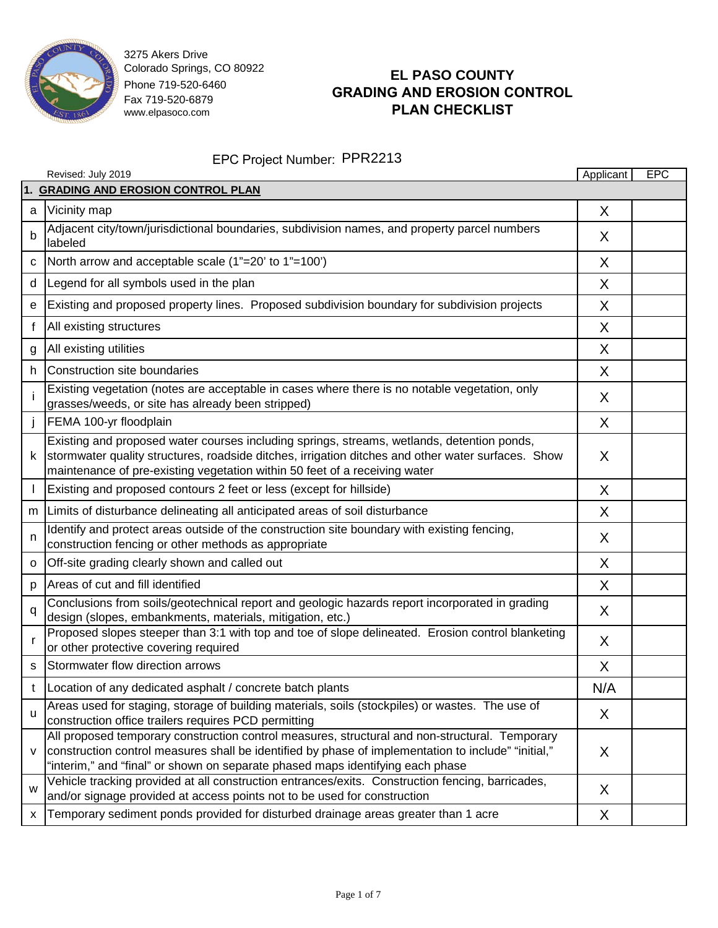

# **EL PASO COUNTY GRADING AND EROSION CONTROL PLAN CHECKLIST**

|              | Revised: July 2019                                                                                                                                                                                                                                                                      | Applicant | <b>EPC</b> |
|--------------|-----------------------------------------------------------------------------------------------------------------------------------------------------------------------------------------------------------------------------------------------------------------------------------------|-----------|------------|
|              | 1. GRADING AND EROSION CONTROL PLAN                                                                                                                                                                                                                                                     |           |            |
| a            | Vicinity map                                                                                                                                                                                                                                                                            | X         |            |
| b            | Adjacent city/town/jurisdictional boundaries, subdivision names, and property parcel numbers<br>labeled                                                                                                                                                                                 | X         |            |
| C            | North arrow and acceptable scale (1"=20' to 1"=100')                                                                                                                                                                                                                                    | X         |            |
| d            | Legend for all symbols used in the plan                                                                                                                                                                                                                                                 | X         |            |
| е            | Existing and proposed property lines. Proposed subdivision boundary for subdivision projects                                                                                                                                                                                            | X         |            |
| f            | All existing structures                                                                                                                                                                                                                                                                 | X         |            |
| g            | All existing utilities                                                                                                                                                                                                                                                                  | X         |            |
| h            | Construction site boundaries                                                                                                                                                                                                                                                            | X         |            |
|              | Existing vegetation (notes are acceptable in cases where there is no notable vegetation, only<br>grasses/weeds, or site has already been stripped)                                                                                                                                      | X         |            |
|              | FEMA 100-yr floodplain                                                                                                                                                                                                                                                                  | X         |            |
| k            | Existing and proposed water courses including springs, streams, wetlands, detention ponds,<br>stormwater quality structures, roadside ditches, irrigation ditches and other water surfaces. Show<br>maintenance of pre-existing vegetation within 50 feet of a receiving water          | X         |            |
|              | Existing and proposed contours 2 feet or less (except for hillside)                                                                                                                                                                                                                     | X         |            |
| m            | Limits of disturbance delineating all anticipated areas of soil disturbance                                                                                                                                                                                                             | X         |            |
| n            | Identify and protect areas outside of the construction site boundary with existing fencing,<br>construction fencing or other methods as appropriate                                                                                                                                     | X         |            |
| $\Omega$     | Off-site grading clearly shown and called out                                                                                                                                                                                                                                           | X         |            |
| p            | Areas of cut and fill identified                                                                                                                                                                                                                                                        | X         |            |
| q            | Conclusions from soils/geotechnical report and geologic hazards report incorporated in grading<br>design (slopes, embankments, materials, mitigation, etc.)                                                                                                                             | X         |            |
| r,           | Proposed slopes steeper than 3:1 with top and toe of slope delineated. Erosion control blanketing<br>or other protective covering required                                                                                                                                              | X         |            |
| s            | Stormwater flow direction arrows                                                                                                                                                                                                                                                        | X         |            |
| t            | Location of any dedicated asphalt / concrete batch plants                                                                                                                                                                                                                               | N/A       |            |
| $\mathbf{u}$ | Areas used for staging, storage of building materials, soils (stockpiles) or wastes. The use of<br>construction office trailers requires PCD permitting                                                                                                                                 | X         |            |
| v            | All proposed temporary construction control measures, structural and non-structural. Temporary<br>construction control measures shall be identified by phase of implementation to include" "initial,"<br>"interim," and "final" or shown on separate phased maps identifying each phase | X         |            |
| W            | Vehicle tracking provided at all construction entrances/exits. Construction fencing, barricades,<br>and/or signage provided at access points not to be used for construction                                                                                                            | X         |            |
| х            | Temporary sediment ponds provided for disturbed drainage areas greater than 1 acre                                                                                                                                                                                                      | X         |            |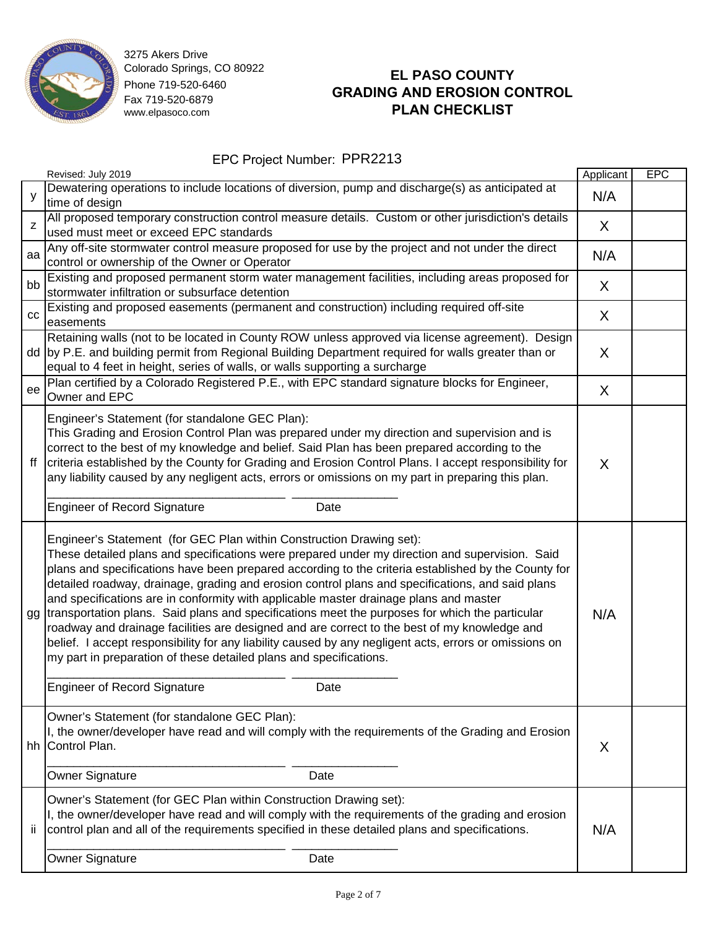

# **EL PASO COUNTY GRADING AND EROSION CONTROL PLAN CHECKLIST**

|    | Revised: July 2019                                                                                                                                                                                                                                                                                                                                                                                                                                                                                                                                                                                                                                                                                                                                                                                                                                                                                          | Applicant | <b>EPC</b> |
|----|-------------------------------------------------------------------------------------------------------------------------------------------------------------------------------------------------------------------------------------------------------------------------------------------------------------------------------------------------------------------------------------------------------------------------------------------------------------------------------------------------------------------------------------------------------------------------------------------------------------------------------------------------------------------------------------------------------------------------------------------------------------------------------------------------------------------------------------------------------------------------------------------------------------|-----------|------------|
| y  | Dewatering operations to include locations of diversion, pump and discharge(s) as anticipated at<br>time of design                                                                                                                                                                                                                                                                                                                                                                                                                                                                                                                                                                                                                                                                                                                                                                                          | N/A       |            |
| Z  | All proposed temporary construction control measure details. Custom or other jurisdiction's details<br>used must meet or exceed EPC standards                                                                                                                                                                                                                                                                                                                                                                                                                                                                                                                                                                                                                                                                                                                                                               | X         |            |
| aa | Any off-site stormwater control measure proposed for use by the project and not under the direct<br>control or ownership of the Owner or Operator                                                                                                                                                                                                                                                                                                                                                                                                                                                                                                                                                                                                                                                                                                                                                           | N/A       |            |
| bb | Existing and proposed permanent storm water management facilities, including areas proposed for<br>stormwater infiltration or subsurface detention                                                                                                                                                                                                                                                                                                                                                                                                                                                                                                                                                                                                                                                                                                                                                          | X         |            |
| CC | Existing and proposed easements (permanent and construction) including required off-site<br>easements                                                                                                                                                                                                                                                                                                                                                                                                                                                                                                                                                                                                                                                                                                                                                                                                       | X         |            |
|    | Retaining walls (not to be located in County ROW unless approved via license agreement). Design<br>dd  by P.E. and building permit from Regional Building Department required for walls greater than or<br>equal to 4 feet in height, series of walls, or walls supporting a surcharge                                                                                                                                                                                                                                                                                                                                                                                                                                                                                                                                                                                                                      | X         |            |
| ee | Plan certified by a Colorado Registered P.E., with EPC standard signature blocks for Engineer,<br>Owner and EPC                                                                                                                                                                                                                                                                                                                                                                                                                                                                                                                                                                                                                                                                                                                                                                                             | X         |            |
| ff | Engineer's Statement (for standalone GEC Plan):<br>This Grading and Erosion Control Plan was prepared under my direction and supervision and is<br>correct to the best of my knowledge and belief. Said Plan has been prepared according to the<br>criteria established by the County for Grading and Erosion Control Plans. I accept responsibility for<br>any liability caused by any negligent acts, errors or omissions on my part in preparing this plan.                                                                                                                                                                                                                                                                                                                                                                                                                                              | X         |            |
|    | <b>Engineer of Record Signature</b><br>Date                                                                                                                                                                                                                                                                                                                                                                                                                                                                                                                                                                                                                                                                                                                                                                                                                                                                 |           |            |
| gg | Engineer's Statement (for GEC Plan within Construction Drawing set):<br>These detailed plans and specifications were prepared under my direction and supervision. Said<br>plans and specifications have been prepared according to the criteria established by the County for<br>detailed roadway, drainage, grading and erosion control plans and specifications, and said plans<br>and specifications are in conformity with applicable master drainage plans and master<br>transportation plans. Said plans and specifications meet the purposes for which the particular<br>roadway and drainage facilities are designed and are correct to the best of my knowledge and<br>belief. I accept responsibility for any liability caused by any negligent acts, errors or omissions on<br>my part in preparation of these detailed plans and specifications.<br><b>Engineer of Record Signature</b><br>Date | N/A       |            |
| hh | Owner's Statement (for standalone GEC Plan):<br>I, the owner/developer have read and will comply with the requirements of the Grading and Erosion<br>Control Plan.<br><b>Owner Signature</b><br>Date                                                                                                                                                                                                                                                                                                                                                                                                                                                                                                                                                                                                                                                                                                        | X         |            |
|    |                                                                                                                                                                                                                                                                                                                                                                                                                                                                                                                                                                                                                                                                                                                                                                                                                                                                                                             |           |            |
| iί | Owner's Statement (for GEC Plan within Construction Drawing set):<br>I, the owner/developer have read and will comply with the requirements of the grading and erosion<br>control plan and all of the requirements specified in these detailed plans and specifications.                                                                                                                                                                                                                                                                                                                                                                                                                                                                                                                                                                                                                                    | N/A       |            |
|    | Owner Signature<br>Date                                                                                                                                                                                                                                                                                                                                                                                                                                                                                                                                                                                                                                                                                                                                                                                                                                                                                     |           |            |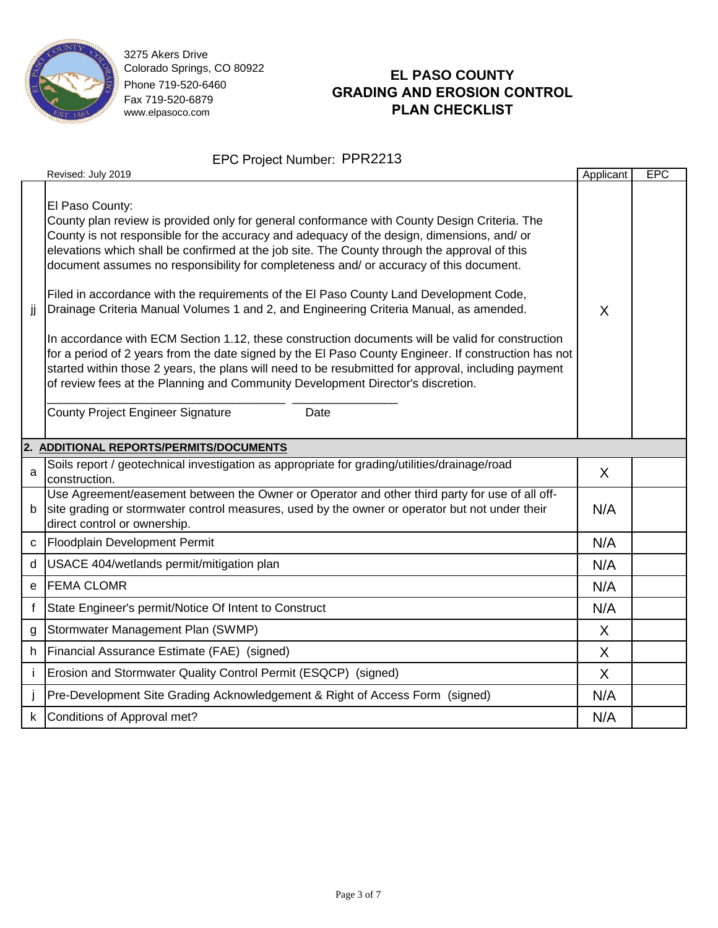

### **EL PASO COUNTY GRADING AND EROSION CONTROL PLAN CHECKLIST**

|              | EPC Project Number: PPR2213                                                                                                                                                                                                                                                                                                                                                                                                                                                                                                                                                                                                                                                                                                                                                                                                                                                                                                                                                                                                                           |           |            |  |  |  |
|--------------|-------------------------------------------------------------------------------------------------------------------------------------------------------------------------------------------------------------------------------------------------------------------------------------------------------------------------------------------------------------------------------------------------------------------------------------------------------------------------------------------------------------------------------------------------------------------------------------------------------------------------------------------------------------------------------------------------------------------------------------------------------------------------------------------------------------------------------------------------------------------------------------------------------------------------------------------------------------------------------------------------------------------------------------------------------|-----------|------------|--|--|--|
|              | Revised: July 2019                                                                                                                                                                                                                                                                                                                                                                                                                                                                                                                                                                                                                                                                                                                                                                                                                                                                                                                                                                                                                                    | Applicant | <b>EPC</b> |  |  |  |
| jj           | El Paso County:<br>County plan review is provided only for general conformance with County Design Criteria. The<br>County is not responsible for the accuracy and adequacy of the design, dimensions, and/ or<br>elevations which shall be confirmed at the job site. The County through the approval of this<br>document assumes no responsibility for completeness and/ or accuracy of this document.<br>Filed in accordance with the requirements of the El Paso County Land Development Code,<br>Drainage Criteria Manual Volumes 1 and 2, and Engineering Criteria Manual, as amended.<br>In accordance with ECM Section 1.12, these construction documents will be valid for construction<br>for a period of 2 years from the date signed by the El Paso County Engineer. If construction has not<br>started within those 2 years, the plans will need to be resubmitted for approval, including payment<br>of review fees at the Planning and Community Development Director's discretion.<br><b>County Project Engineer Signature</b><br>Date | X         |            |  |  |  |
|              | 2. ADDITIONAL REPORTS/PERMITS/DOCUMENTS                                                                                                                                                                                                                                                                                                                                                                                                                                                                                                                                                                                                                                                                                                                                                                                                                                                                                                                                                                                                               |           |            |  |  |  |
| a            | Soils report / geotechnical investigation as appropriate for grading/utilities/drainage/road<br>construction.                                                                                                                                                                                                                                                                                                                                                                                                                                                                                                                                                                                                                                                                                                                                                                                                                                                                                                                                         | X.        |            |  |  |  |
| b            | Use Agreement/easement between the Owner or Operator and other third party for use of all off-<br>site grading or stormwater control measures, used by the owner or operator but not under their<br>direct control or ownership.                                                                                                                                                                                                                                                                                                                                                                                                                                                                                                                                                                                                                                                                                                                                                                                                                      | N/A       |            |  |  |  |
|              | c Floodplain Development Permit                                                                                                                                                                                                                                                                                                                                                                                                                                                                                                                                                                                                                                                                                                                                                                                                                                                                                                                                                                                                                       | N/A       |            |  |  |  |
| d            | USACE 404/wetlands permit/mitigation plan                                                                                                                                                                                                                                                                                                                                                                                                                                                                                                                                                                                                                                                                                                                                                                                                                                                                                                                                                                                                             | N/A       |            |  |  |  |
|              | e FEMA CLOMR                                                                                                                                                                                                                                                                                                                                                                                                                                                                                                                                                                                                                                                                                                                                                                                                                                                                                                                                                                                                                                          | N/A       |            |  |  |  |
| f            | State Engineer's permit/Notice Of Intent to Construct                                                                                                                                                                                                                                                                                                                                                                                                                                                                                                                                                                                                                                                                                                                                                                                                                                                                                                                                                                                                 | N/A       |            |  |  |  |
| g            | Stormwater Management Plan (SWMP)                                                                                                                                                                                                                                                                                                                                                                                                                                                                                                                                                                                                                                                                                                                                                                                                                                                                                                                                                                                                                     | X         |            |  |  |  |
|              | h Financial Assurance Estimate (FAE) (signed)                                                                                                                                                                                                                                                                                                                                                                                                                                                                                                                                                                                                                                                                                                                                                                                                                                                                                                                                                                                                         | X         |            |  |  |  |
| $\mathbf{i}$ | Erosion and Stormwater Quality Control Permit (ESQCP) (signed)                                                                                                                                                                                                                                                                                                                                                                                                                                                                                                                                                                                                                                                                                                                                                                                                                                                                                                                                                                                        | X         |            |  |  |  |
|              | Pre-Development Site Grading Acknowledgement & Right of Access Form (signed)                                                                                                                                                                                                                                                                                                                                                                                                                                                                                                                                                                                                                                                                                                                                                                                                                                                                                                                                                                          | N/A       |            |  |  |  |
|              | k Conditions of Approval met?                                                                                                                                                                                                                                                                                                                                                                                                                                                                                                                                                                                                                                                                                                                                                                                                                                                                                                                                                                                                                         | N/A       |            |  |  |  |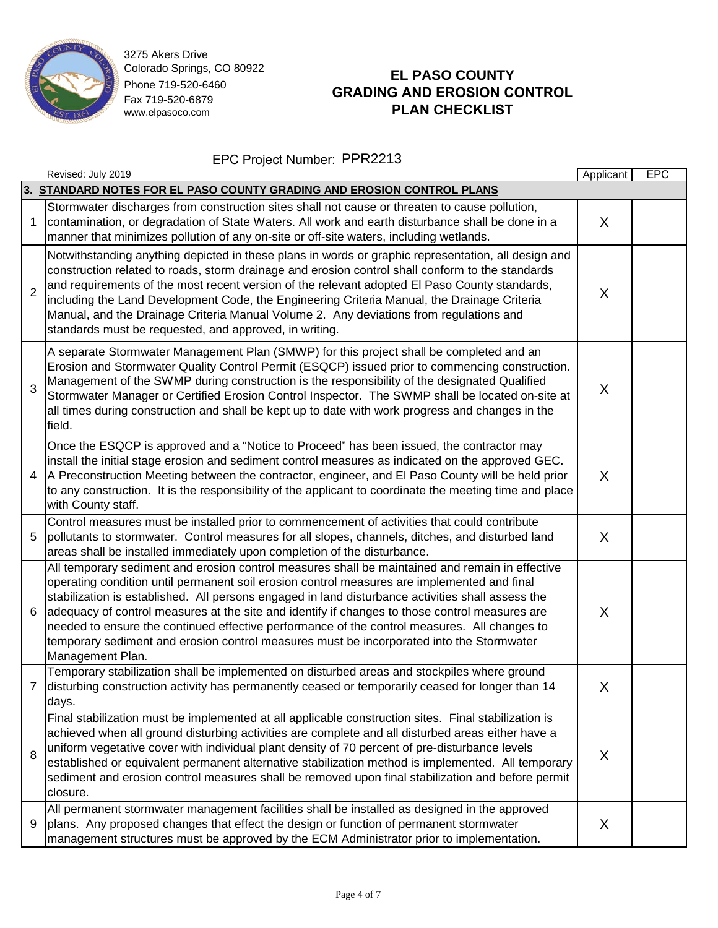

# **EL PASO COUNTY GRADING AND EROSION CONTROL PLAN CHECKLIST**

|                | Revised: July 2019                                                                                                                                                                                                                                                                                                                                                                                                                                                                                                                                                                                                    | Applicant | EPC |
|----------------|-----------------------------------------------------------------------------------------------------------------------------------------------------------------------------------------------------------------------------------------------------------------------------------------------------------------------------------------------------------------------------------------------------------------------------------------------------------------------------------------------------------------------------------------------------------------------------------------------------------------------|-----------|-----|
|                | 3. STANDARD NOTES FOR EL PASO COUNTY GRADING AND EROSION CONTROL PLANS                                                                                                                                                                                                                                                                                                                                                                                                                                                                                                                                                |           |     |
| 1              | Stormwater discharges from construction sites shall not cause or threaten to cause pollution,<br>contamination, or degradation of State Waters. All work and earth disturbance shall be done in a<br>manner that minimizes pollution of any on-site or off-site waters, including wetlands.                                                                                                                                                                                                                                                                                                                           | X         |     |
| $\overline{2}$ | Notwithstanding anything depicted in these plans in words or graphic representation, all design and<br>construction related to roads, storm drainage and erosion control shall conform to the standards<br>and requirements of the most recent version of the relevant adopted El Paso County standards,<br>including the Land Development Code, the Engineering Criteria Manual, the Drainage Criteria<br>Manual, and the Drainage Criteria Manual Volume 2. Any deviations from regulations and<br>standards must be requested, and approved, in writing.                                                           | X         |     |
| 3              | A separate Stormwater Management Plan (SMWP) for this project shall be completed and an<br>Erosion and Stormwater Quality Control Permit (ESQCP) issued prior to commencing construction.<br>Management of the SWMP during construction is the responsibility of the designated Qualified<br>Stormwater Manager or Certified Erosion Control Inspector. The SWMP shall be located on-site at<br>all times during construction and shall be kept up to date with work progress and changes in the<br>field.                                                                                                            | X         |     |
| $\overline{4}$ | Once the ESQCP is approved and a "Notice to Proceed" has been issued, the contractor may<br>install the initial stage erosion and sediment control measures as indicated on the approved GEC.<br>A Preconstruction Meeting between the contractor, engineer, and El Paso County will be held prior<br>to any construction. It is the responsibility of the applicant to coordinate the meeting time and place<br>with County staff.                                                                                                                                                                                   | X         |     |
| 5              | Control measures must be installed prior to commencement of activities that could contribute<br>pollutants to stormwater. Control measures for all slopes, channels, ditches, and disturbed land<br>areas shall be installed immediately upon completion of the disturbance.                                                                                                                                                                                                                                                                                                                                          | X         |     |
| 6              | All temporary sediment and erosion control measures shall be maintained and remain in effective<br>operating condition until permanent soil erosion control measures are implemented and final<br>stabilization is established. All persons engaged in land disturbance activities shall assess the<br>adequacy of control measures at the site and identify if changes to those control measures are<br>needed to ensure the continued effective performance of the control measures. All changes to<br>temporary sediment and erosion control measures must be incorporated into the Stormwater<br>Management Plan. | X         |     |
| 7              | Temporary stabilization shall be implemented on disturbed areas and stockpiles where ground<br>disturbing construction activity has permanently ceased or temporarily ceased for longer than 14<br>days.                                                                                                                                                                                                                                                                                                                                                                                                              | X         |     |
| 8              | Final stabilization must be implemented at all applicable construction sites. Final stabilization is<br>achieved when all ground disturbing activities are complete and all disturbed areas either have a<br>uniform vegetative cover with individual plant density of 70 percent of pre-disturbance levels<br>established or equivalent permanent alternative stabilization method is implemented. All temporary<br>sediment and erosion control measures shall be removed upon final stabilization and before permit<br>closure.                                                                                    | X         |     |
| 9              | All permanent stormwater management facilities shall be installed as designed in the approved<br>plans. Any proposed changes that effect the design or function of permanent stormwater<br>management structures must be approved by the ECM Administrator prior to implementation.                                                                                                                                                                                                                                                                                                                                   | X         |     |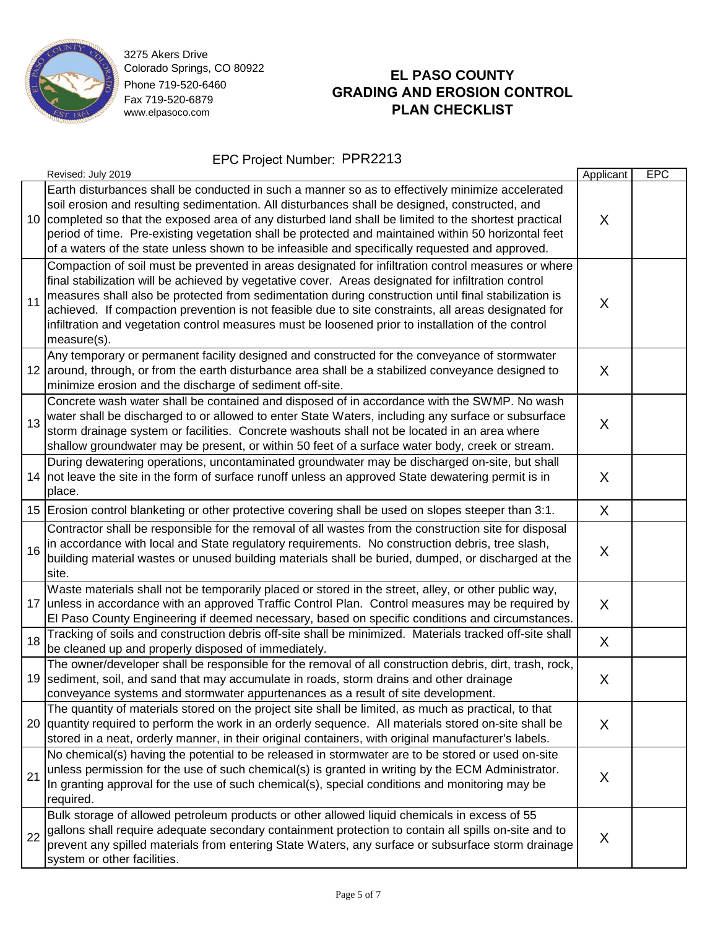

# **EL PASO COUNTY GRADING AND EROSION CONTROL PLAN CHECKLIST**

|    | Revised: July 2019                                                                                                                                                                                                                                                                                                                                                                                                                                                                                                                              | Applicant | <b>EPC</b> |
|----|-------------------------------------------------------------------------------------------------------------------------------------------------------------------------------------------------------------------------------------------------------------------------------------------------------------------------------------------------------------------------------------------------------------------------------------------------------------------------------------------------------------------------------------------------|-----------|------------|
|    | Earth disturbances shall be conducted in such a manner so as to effectively minimize accelerated<br>soil erosion and resulting sedimentation. All disturbances shall be designed, constructed, and<br>10 completed so that the exposed area of any disturbed land shall be limited to the shortest practical<br>period of time. Pre-existing vegetation shall be protected and maintained within 50 horizontal feet<br>of a waters of the state unless shown to be infeasible and specifically requested and approved.                          | X         |            |
| 11 | Compaction of soil must be prevented in areas designated for infiltration control measures or where<br>final stabilization will be achieved by vegetative cover. Areas designated for infiltration control<br>measures shall also be protected from sedimentation during construction until final stabilization is<br>achieved. If compaction prevention is not feasible due to site constraints, all areas designated for<br>infiltration and vegetation control measures must be loosened prior to installation of the control<br>measure(s). | X         |            |
|    | Any temporary or permanent facility designed and constructed for the conveyance of stormwater<br>12 around, through, or from the earth disturbance area shall be a stabilized conveyance designed to<br>minimize erosion and the discharge of sediment off-site.                                                                                                                                                                                                                                                                                | X         |            |
| 13 | Concrete wash water shall be contained and disposed of in accordance with the SWMP. No wash<br>water shall be discharged to or allowed to enter State Waters, including any surface or subsurface<br>storm drainage system or facilities. Concrete washouts shall not be located in an area where<br>shallow groundwater may be present, or within 50 feet of a surface water body, creek or stream.                                                                                                                                            | X         |            |
|    | During dewatering operations, uncontaminated groundwater may be discharged on-site, but shall<br>14 not leave the site in the form of surface runoff unless an approved State dewatering permit is in<br>place.                                                                                                                                                                                                                                                                                                                                 | X         |            |
|    | 15 Erosion control blanketing or other protective covering shall be used on slopes steeper than 3:1.                                                                                                                                                                                                                                                                                                                                                                                                                                            | X         |            |
| 16 | Contractor shall be responsible for the removal of all wastes from the construction site for disposal<br>in accordance with local and State regulatory requirements. No construction debris, tree slash,<br>building material wastes or unused building materials shall be buried, dumped, or discharged at the<br>site.                                                                                                                                                                                                                        | X         |            |
|    | Waste materials shall not be temporarily placed or stored in the street, alley, or other public way,<br>17 unless in accordance with an approved Traffic Control Plan. Control measures may be required by<br>El Paso County Engineering if deemed necessary, based on specific conditions and circumstances.                                                                                                                                                                                                                                   | X         |            |
| 18 | Tracking of soils and construction debris off-site shall be minimized. Materials tracked off-site shall<br>be cleaned up and properly disposed of immediately.                                                                                                                                                                                                                                                                                                                                                                                  | X         |            |
|    | The owner/developer shall be responsible for the removal of all construction debris, dirt, trash, rock,<br>19 sediment, soil, and sand that may accumulate in roads, storm drains and other drainage<br>conveyance systems and stormwater appurtenances as a result of site development.                                                                                                                                                                                                                                                        | X         |            |
|    | The quantity of materials stored on the project site shall be limited, as much as practical, to that<br>20 quantity required to perform the work in an orderly sequence. All materials stored on-site shall be<br>stored in a neat, orderly manner, in their original containers, with original manufacturer's labels.                                                                                                                                                                                                                          | X         |            |
| 21 | No chemical(s) having the potential to be released in stormwater are to be stored or used on-site<br>unless permission for the use of such chemical(s) is granted in writing by the ECM Administrator.<br>In granting approval for the use of such chemical(s), special conditions and monitoring may be<br>required.                                                                                                                                                                                                                           | X         |            |
| 22 | Bulk storage of allowed petroleum products or other allowed liquid chemicals in excess of 55<br>gallons shall require adequate secondary containment protection to contain all spills on-site and to<br>prevent any spilled materials from entering State Waters, any surface or subsurface storm drainage<br>system or other facilities.                                                                                                                                                                                                       | X         |            |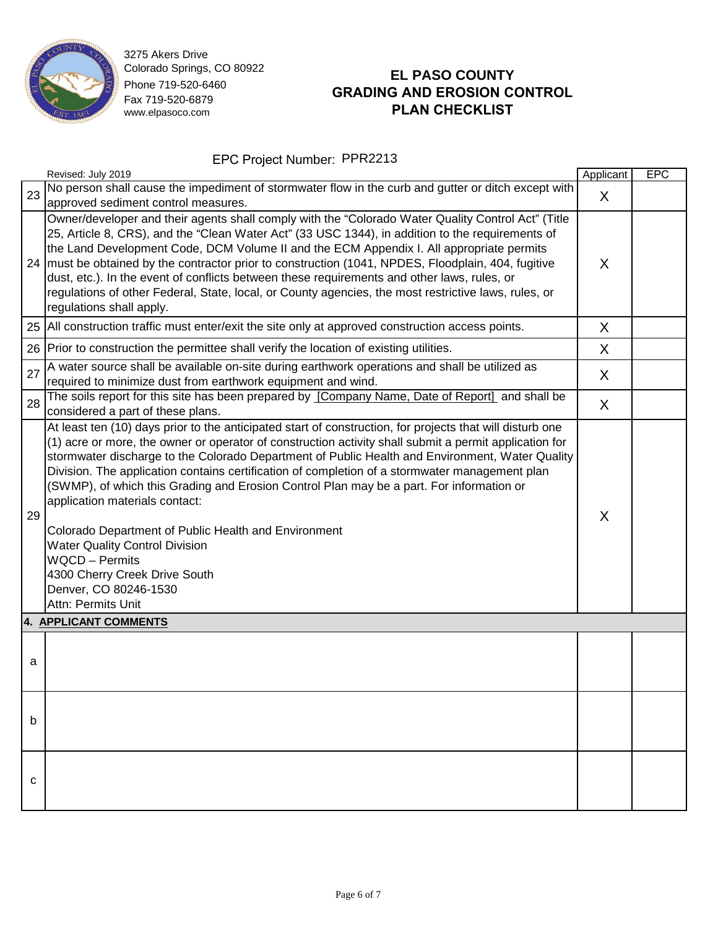

# **EL PASO COUNTY GRADING AND EROSION CONTROL PLAN CHECKLIST**

|    | Revised: July 2019                                                                                                                                                                                                                                                                                                                                                                                                                                                                                                                                                                                                                                                                                                                                               | Applicant | <b>EPC</b> |
|----|------------------------------------------------------------------------------------------------------------------------------------------------------------------------------------------------------------------------------------------------------------------------------------------------------------------------------------------------------------------------------------------------------------------------------------------------------------------------------------------------------------------------------------------------------------------------------------------------------------------------------------------------------------------------------------------------------------------------------------------------------------------|-----------|------------|
| 23 | No person shall cause the impediment of stormwater flow in the curb and gutter or ditch except with<br>approved sediment control measures.                                                                                                                                                                                                                                                                                                                                                                                                                                                                                                                                                                                                                       | X         |            |
| 24 | Owner/developer and their agents shall comply with the "Colorado Water Quality Control Act" (Title<br>25, Article 8, CRS), and the "Clean Water Act" (33 USC 1344), in addition to the requirements of<br>the Land Development Code, DCM Volume II and the ECM Appendix I. All appropriate permits<br>must be obtained by the contractor prior to construction (1041, NPDES, Floodplain, 404, fugitive<br>dust, etc.). In the event of conflicts between these requirements and other laws, rules, or<br>regulations of other Federal, State, local, or County agencies, the most restrictive laws, rules, or<br>regulations shall apply.                                                                                                                        | X         |            |
| 25 | All construction traffic must enter/exit the site only at approved construction access points.                                                                                                                                                                                                                                                                                                                                                                                                                                                                                                                                                                                                                                                                   | X         |            |
| 26 | Prior to construction the permittee shall verify the location of existing utilities.                                                                                                                                                                                                                                                                                                                                                                                                                                                                                                                                                                                                                                                                             | X         |            |
| 27 | A water source shall be available on-site during earthwork operations and shall be utilized as<br>required to minimize dust from earthwork equipment and wind.                                                                                                                                                                                                                                                                                                                                                                                                                                                                                                                                                                                                   | X         |            |
| 28 | The soils report for this site has been prepared by [Company Name, Date of Report] and shall be<br>considered a part of these plans.                                                                                                                                                                                                                                                                                                                                                                                                                                                                                                                                                                                                                             | X         |            |
| 29 | At least ten (10) days prior to the anticipated start of construction, for projects that will disturb one<br>(1) acre or more, the owner or operator of construction activity shall submit a permit application for<br>stormwater discharge to the Colorado Department of Public Health and Environment, Water Quality<br>Division. The application contains certification of completion of a stormwater management plan<br>(SWMP), of which this Grading and Erosion Control Plan may be a part. For information or<br>application materials contact:<br>Colorado Department of Public Health and Environment<br><b>Water Quality Control Division</b><br><b>WQCD - Permits</b><br>4300 Cherry Creek Drive South<br>Denver, CO 80246-1530<br>Attn: Permits Unit | X         |            |
|    | 4. APPLICANT COMMENTS                                                                                                                                                                                                                                                                                                                                                                                                                                                                                                                                                                                                                                                                                                                                            |           |            |
| a  |                                                                                                                                                                                                                                                                                                                                                                                                                                                                                                                                                                                                                                                                                                                                                                  |           |            |
| b  |                                                                                                                                                                                                                                                                                                                                                                                                                                                                                                                                                                                                                                                                                                                                                                  |           |            |
| с  |                                                                                                                                                                                                                                                                                                                                                                                                                                                                                                                                                                                                                                                                                                                                                                  |           |            |